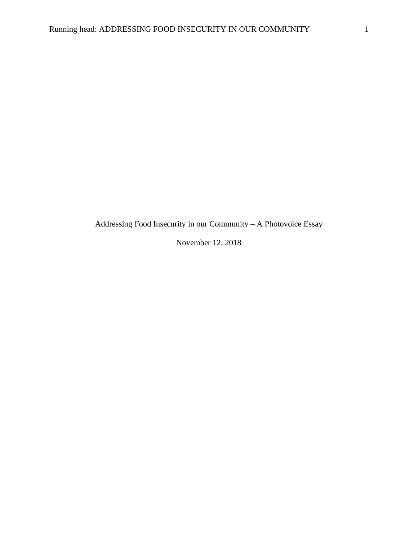Addressing Food Insecurity in our Community – A Photovoice Essay

November 12, 2018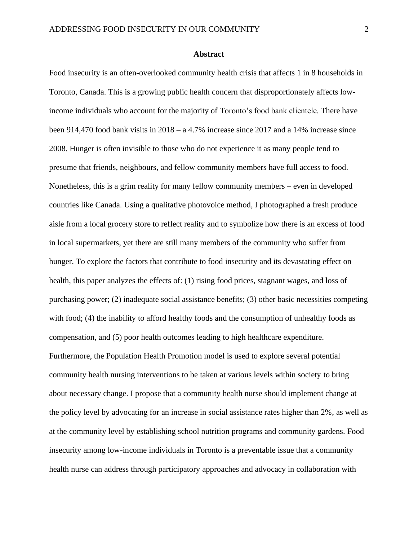# **Abstract**

Food insecurity is an often-overlooked community health crisis that affects 1 in 8 households in Toronto, Canada. This is a growing public health concern that disproportionately affects lowincome individuals who account for the majority of Toronto's food bank clientele. There have been 914,470 food bank visits in 2018 – a 4.7% increase since 2017 and a 14% increase since 2008. Hunger is often invisible to those who do not experience it as many people tend to presume that friends, neighbours, and fellow community members have full access to food. Nonetheless, this is a grim reality for many fellow community members – even in developed countries like Canada. Using a qualitative photovoice method, I photographed a fresh produce aisle from a local grocery store to reflect reality and to symbolize how there is an excess of food in local supermarkets, yet there are still many members of the community who suffer from hunger. To explore the factors that contribute to food insecurity and its devastating effect on health, this paper analyzes the effects of: (1) rising food prices, stagnant wages, and loss of purchasing power; (2) inadequate social assistance benefits; (3) other basic necessities competing with food; (4) the inability to afford healthy foods and the consumption of unhealthy foods as compensation, and (5) poor health outcomes leading to high healthcare expenditure. Furthermore, the Population Health Promotion model is used to explore several potential community health nursing interventions to be taken at various levels within society to bring about necessary change. I propose that a community health nurse should implement change at the policy level by advocating for an increase in social assistance rates higher than 2%, as well as at the community level by establishing school nutrition programs and community gardens. Food insecurity among low-income individuals in Toronto is a preventable issue that a community health nurse can address through participatory approaches and advocacy in collaboration with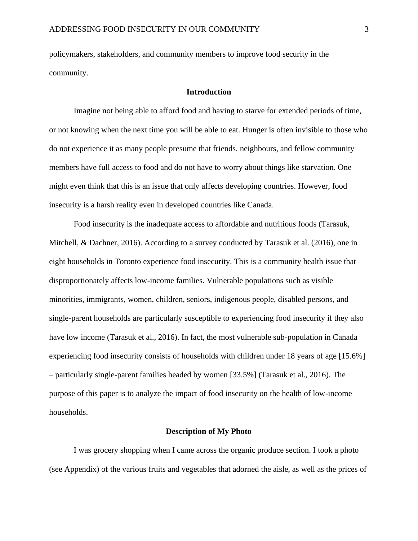policymakers, stakeholders, and community members to improve food security in the community.

# **Introduction**

Imagine not being able to afford food and having to starve for extended periods of time, or not knowing when the next time you will be able to eat. Hunger is often invisible to those who do not experience it as many people presume that friends, neighbours, and fellow community members have full access to food and do not have to worry about things like starvation. One might even think that this is an issue that only affects developing countries. However, food insecurity is a harsh reality even in developed countries like Canada.

Food insecurity is the inadequate access to affordable and nutritious foods (Tarasuk, Mitchell, & Dachner, 2016). According to a survey conducted by Tarasuk et al. (2016), one in eight households in Toronto experience food insecurity. This is a community health issue that disproportionately affects low-income families. Vulnerable populations such as visible minorities, immigrants, women, children, seniors, indigenous people, disabled persons, and single-parent households are particularly susceptible to experiencing food insecurity if they also have low income (Tarasuk et al., 2016). In fact, the most vulnerable sub-population in Canada experiencing food insecurity consists of households with children under 18 years of age [15.6%] – particularly single-parent families headed by women [33.5%] (Tarasuk et al., 2016). The purpose of this paper is to analyze the impact of food insecurity on the health of low-income households.

#### **Description of My Photo**

I was grocery shopping when I came across the organic produce section. I took a photo (see Appendix) of the various fruits and vegetables that adorned the aisle, as well as the prices of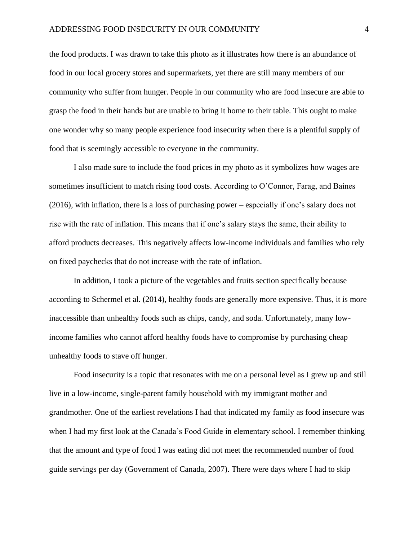the food products. I was drawn to take this photo as it illustrates how there is an abundance of food in our local grocery stores and supermarkets, yet there are still many members of our community who suffer from hunger. People in our community who are food insecure are able to grasp the food in their hands but are unable to bring it home to their table. This ought to make one wonder why so many people experience food insecurity when there is a plentiful supply of food that is seemingly accessible to everyone in the community.

I also made sure to include the food prices in my photo as it symbolizes how wages are sometimes insufficient to match rising food costs. According to O'Connor, Farag, and Baines (2016), with inflation, there is a loss of purchasing power – especially if one's salary does not rise with the rate of inflation. This means that if one's salary stays the same, their ability to afford products decreases. This negatively affects low-income individuals and families who rely on fixed paychecks that do not increase with the rate of inflation.

In addition, I took a picture of the vegetables and fruits section specifically because according to Schermel et al. (2014), healthy foods are generally more expensive. Thus, it is more inaccessible than unhealthy foods such as chips, candy, and soda. Unfortunately, many lowincome families who cannot afford healthy foods have to compromise by purchasing cheap unhealthy foods to stave off hunger.

Food insecurity is a topic that resonates with me on a personal level as I grew up and still live in a low-income, single-parent family household with my immigrant mother and grandmother. One of the earliest revelations I had that indicated my family as food insecure was when I had my first look at the Canada's Food Guide in elementary school. I remember thinking that the amount and type of food I was eating did not meet the recommended number of food guide servings per day (Government of Canada, 2007). There were days where I had to skip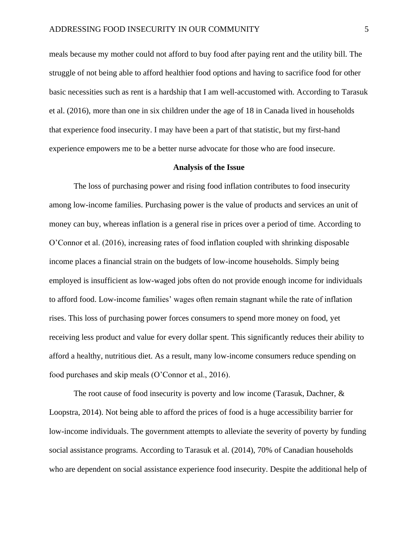meals because my mother could not afford to buy food after paying rent and the utility bill. The struggle of not being able to afford healthier food options and having to sacrifice food for other basic necessities such as rent is a hardship that I am well-accustomed with. According to Tarasuk et al. (2016), more than one in six children under the age of 18 in Canada lived in households that experience food insecurity. I may have been a part of that statistic, but my first-hand experience empowers me to be a better nurse advocate for those who are food insecure.

#### **Analysis of the Issue**

The loss of purchasing power and rising food inflation contributes to food insecurity among low-income families. Purchasing power is the value of products and services an unit of money can buy, whereas inflation is a general rise in prices over a period of time. According to O'Connor et al. (2016), increasing rates of food inflation coupled with shrinking disposable income places a financial strain on the budgets of low-income households. Simply being employed is insufficient as low-waged jobs often do not provide enough income for individuals to afford food. Low-income families' wages often remain stagnant while the rate of inflation rises. This loss of purchasing power forces consumers to spend more money on food, yet receiving less product and value for every dollar spent. This significantly reduces their ability to afford a healthy, nutritious diet. As a result, many low-income consumers reduce spending on food purchases and skip meals (O'Connor et al., 2016).

The root cause of food insecurity is poverty and low income (Tarasuk, Dachner, & Loopstra, 2014). Not being able to afford the prices of food is a huge accessibility barrier for low-income individuals. The government attempts to alleviate the severity of poverty by funding social assistance programs. According to Tarasuk et al. (2014), 70% of Canadian households who are dependent on social assistance experience food insecurity. Despite the additional help of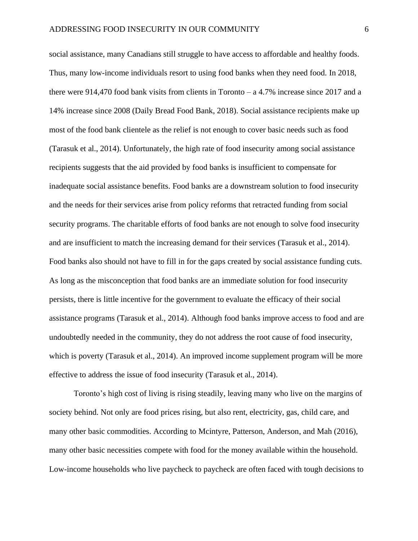social assistance, many Canadians still struggle to have access to affordable and healthy foods. Thus, many low-income individuals resort to using food banks when they need food. In 2018, there were 914,470 food bank visits from clients in Toronto  $- a 4.7\%$  increase since 2017 and a 14% increase since 2008 (Daily Bread Food Bank, 2018). Social assistance recipients make up most of the food bank clientele as the relief is not enough to cover basic needs such as food (Tarasuk et al., 2014). Unfortunately, the high rate of food insecurity among social assistance recipients suggests that the aid provided by food banks is insufficient to compensate for inadequate social assistance benefits. Food banks are a downstream solution to food insecurity and the needs for their services arise from policy reforms that retracted funding from social security programs. The charitable efforts of food banks are not enough to solve food insecurity and are insufficient to match the increasing demand for their services (Tarasuk et al., 2014). Food banks also should not have to fill in for the gaps created by social assistance funding cuts. As long as the misconception that food banks are an immediate solution for food insecurity persists, there is little incentive for the government to evaluate the efficacy of their social assistance programs (Tarasuk et al., 2014). Although food banks improve access to food and are undoubtedly needed in the community, they do not address the root cause of food insecurity, which is poverty (Tarasuk et al., 2014). An improved income supplement program will be more effective to address the issue of food insecurity (Tarasuk et al., 2014).

Toronto's high cost of living is rising steadily, leaving many who live on the margins of society behind. Not only are food prices rising, but also rent, electricity, gas, child care, and many other basic commodities. According to Mcintyre, Patterson, Anderson, and Mah (2016), many other basic necessities compete with food for the money available within the household. Low-income households who live paycheck to paycheck are often faced with tough decisions to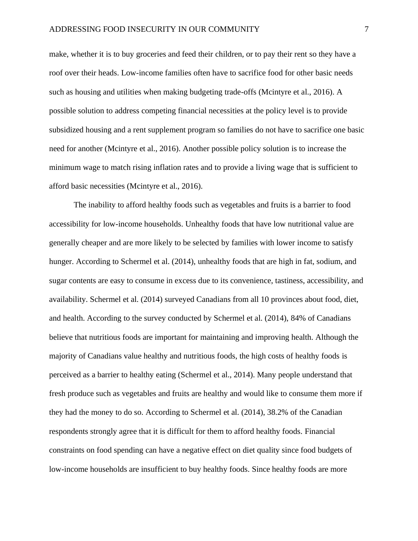make, whether it is to buy groceries and feed their children, or to pay their rent so they have a roof over their heads. Low-income families often have to sacrifice food for other basic needs such as housing and utilities when making budgeting trade-offs (Mcintyre et al., 2016). A possible solution to address competing financial necessities at the policy level is to provide subsidized housing and a rent supplement program so families do not have to sacrifice one basic need for another (Mcintyre et al., 2016). Another possible policy solution is to increase the minimum wage to match rising inflation rates and to provide a living wage that is sufficient to afford basic necessities (Mcintyre et al., 2016).

The inability to afford healthy foods such as vegetables and fruits is a barrier to food accessibility for low-income households. Unhealthy foods that have low nutritional value are generally cheaper and are more likely to be selected by families with lower income to satisfy hunger. According to Schermel et al. (2014), unhealthy foods that are high in fat, sodium, and sugar contents are easy to consume in excess due to its convenience, tastiness, accessibility, and availability. Schermel et al. (2014) surveyed Canadians from all 10 provinces about food, diet, and health. According to the survey conducted by Schermel et al. (2014), 84% of Canadians believe that nutritious foods are important for maintaining and improving health. Although the majority of Canadians value healthy and nutritious foods, the high costs of healthy foods is perceived as a barrier to healthy eating (Schermel et al., 2014). Many people understand that fresh produce such as vegetables and fruits are healthy and would like to consume them more if they had the money to do so. According to Schermel et al. (2014), 38.2% of the Canadian respondents strongly agree that it is difficult for them to afford healthy foods. Financial constraints on food spending can have a negative effect on diet quality since food budgets of low-income households are insufficient to buy healthy foods. Since healthy foods are more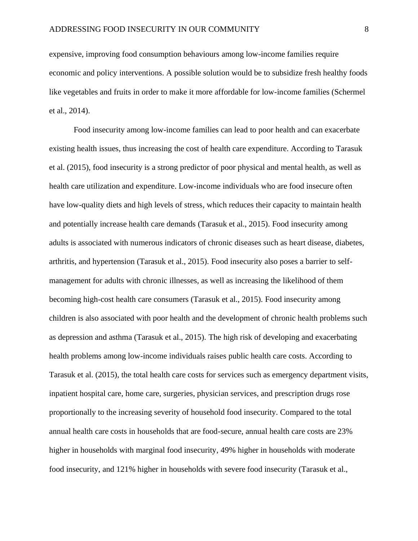expensive, improving food consumption behaviours among low-income families require economic and policy interventions. A possible solution would be to subsidize fresh healthy foods like vegetables and fruits in order to make it more affordable for low-income families (Schermel et al., 2014).

Food insecurity among low-income families can lead to poor health and can exacerbate existing health issues, thus increasing the cost of health care expenditure. According to Tarasuk et al. (2015), food insecurity is a strong predictor of poor physical and mental health, as well as health care utilization and expenditure. Low-income individuals who are food insecure often have low-quality diets and high levels of stress, which reduces their capacity to maintain health and potentially increase health care demands (Tarasuk et al., 2015). Food insecurity among adults is associated with numerous indicators of chronic diseases such as heart disease, diabetes, arthritis, and hypertension (Tarasuk et al., 2015). Food insecurity also poses a barrier to selfmanagement for adults with chronic illnesses, as well as increasing the likelihood of them becoming high-cost health care consumers (Tarasuk et al., 2015). Food insecurity among children is also associated with poor health and the development of chronic health problems such as depression and asthma (Tarasuk et al., 2015). The high risk of developing and exacerbating health problems among low-income individuals raises public health care costs. According to Tarasuk et al. (2015), the total health care costs for services such as emergency department visits, inpatient hospital care, home care, surgeries, physician services, and prescription drugs rose proportionally to the increasing severity of household food insecurity. Compared to the total annual health care costs in households that are food-secure, annual health care costs are 23% higher in households with marginal food insecurity, 49% higher in households with moderate food insecurity, and 121% higher in households with severe food insecurity (Tarasuk et al.,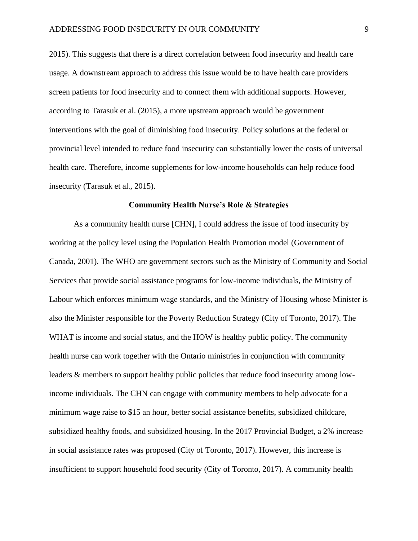2015). This suggests that there is a direct correlation between food insecurity and health care usage. A downstream approach to address this issue would be to have health care providers screen patients for food insecurity and to connect them with additional supports. However, according to Tarasuk et al. (2015), a more upstream approach would be government interventions with the goal of diminishing food insecurity. Policy solutions at the federal or provincial level intended to reduce food insecurity can substantially lower the costs of universal health care. Therefore, income supplements for low-income households can help reduce food insecurity (Tarasuk et al., 2015).

### **Community Health Nurse's Role & Strategies**

As a community health nurse [CHN], I could address the issue of food insecurity by working at the policy level using the Population Health Promotion model (Government of Canada, 2001). The WHO are government sectors such as the Ministry of Community and Social Services that provide social assistance programs for low-income individuals, the Ministry of Labour which enforces minimum wage standards, and the Ministry of Housing whose Minister is also the Minister responsible for the Poverty Reduction Strategy (City of Toronto, 2017). The WHAT is income and social status, and the HOW is healthy public policy. The community health nurse can work together with the Ontario ministries in conjunction with community leaders & members to support healthy public policies that reduce food insecurity among lowincome individuals. The CHN can engage with community members to help advocate for a minimum wage raise to \$15 an hour, better social assistance benefits, subsidized childcare, subsidized healthy foods, and subsidized housing. In the 2017 Provincial Budget, a 2% increase in social assistance rates was proposed (City of Toronto, 2017). However, this increase is insufficient to support household food security (City of Toronto, 2017). A community health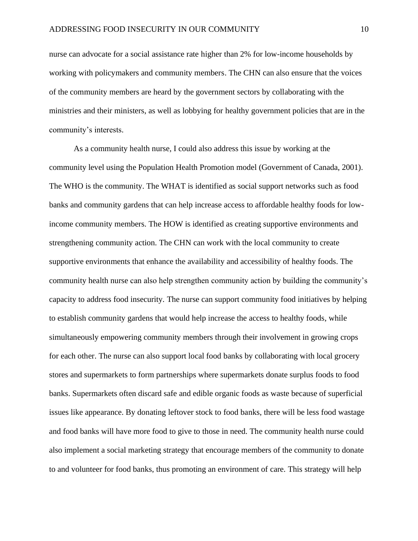nurse can advocate for a social assistance rate higher than 2% for low-income households by working with policymakers and community members. The CHN can also ensure that the voices of the community members are heard by the government sectors by collaborating with the ministries and their ministers, as well as lobbying for healthy government policies that are in the community's interests.

As a community health nurse, I could also address this issue by working at the community level using the Population Health Promotion model (Government of Canada, 2001). The WHO is the community. The WHAT is identified as social support networks such as food banks and community gardens that can help increase access to affordable healthy foods for lowincome community members. The HOW is identified as creating supportive environments and strengthening community action. The CHN can work with the local community to create supportive environments that enhance the availability and accessibility of healthy foods. The community health nurse can also help strengthen community action by building the community's capacity to address food insecurity. The nurse can support community food initiatives by helping to establish community gardens that would help increase the access to healthy foods, while simultaneously empowering community members through their involvement in growing crops for each other. The nurse can also support local food banks by collaborating with local grocery stores and supermarkets to form partnerships where supermarkets donate surplus foods to food banks. Supermarkets often discard safe and edible organic foods as waste because of superficial issues like appearance. By donating leftover stock to food banks, there will be less food wastage and food banks will have more food to give to those in need. The community health nurse could also implement a social marketing strategy that encourage members of the community to donate to and volunteer for food banks, thus promoting an environment of care. This strategy will help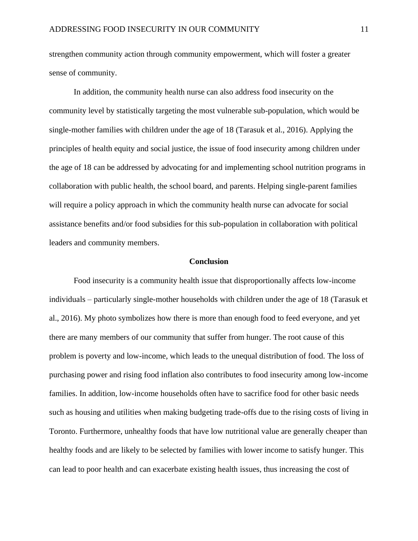strengthen community action through community empowerment, which will foster a greater sense of community.

In addition, the community health nurse can also address food insecurity on the community level by statistically targeting the most vulnerable sub-population, which would be single-mother families with children under the age of 18 (Tarasuk et al., 2016). Applying the principles of health equity and social justice, the issue of food insecurity among children under the age of 18 can be addressed by advocating for and implementing school nutrition programs in collaboration with public health, the school board, and parents. Helping single-parent families will require a policy approach in which the community health nurse can advocate for social assistance benefits and/or food subsidies for this sub-population in collaboration with political leaders and community members.

### **Conclusion**

Food insecurity is a community health issue that disproportionally affects low-income individuals – particularly single-mother households with children under the age of 18 (Tarasuk et al., 2016). My photo symbolizes how there is more than enough food to feed everyone, and yet there are many members of our community that suffer from hunger. The root cause of this problem is poverty and low-income, which leads to the unequal distribution of food. The loss of purchasing power and rising food inflation also contributes to food insecurity among low-income families. In addition, low-income households often have to sacrifice food for other basic needs such as housing and utilities when making budgeting trade-offs due to the rising costs of living in Toronto. Furthermore, unhealthy foods that have low nutritional value are generally cheaper than healthy foods and are likely to be selected by families with lower income to satisfy hunger. This can lead to poor health and can exacerbate existing health issues, thus increasing the cost of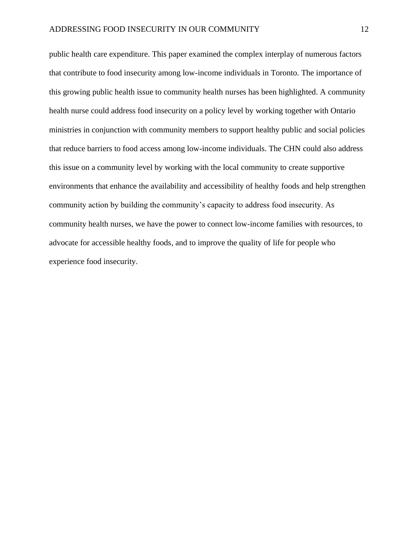public health care expenditure. This paper examined the complex interplay of numerous factors that contribute to food insecurity among low-income individuals in Toronto. The importance of this growing public health issue to community health nurses has been highlighted. A community health nurse could address food insecurity on a policy level by working together with Ontario ministries in conjunction with community members to support healthy public and social policies that reduce barriers to food access among low-income individuals. The CHN could also address this issue on a community level by working with the local community to create supportive environments that enhance the availability and accessibility of healthy foods and help strengthen community action by building the community's capacity to address food insecurity. As community health nurses, we have the power to connect low-income families with resources, to advocate for accessible healthy foods, and to improve the quality of life for people who experience food insecurity.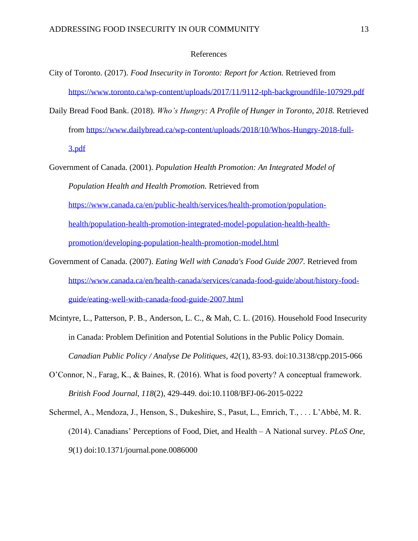# References

- City of Toronto. (2017). *Food Insecurity in Toronto: Report for Action.* Retrieved from <https://www.toronto.ca/wp-content/uploads/2017/11/9112-tph-backgroundfile-107929.pdf>
- Daily Bread Food Bank. (2018). *Who's Hungry: A Profile of Hunger in Toronto, 2018.* Retrieved from [https://www.dailybread.ca/wp-content/uploads/2018/10/Whos-Hungry-2018-full-](https://www.dailybread.ca/wp-content/uploads/2018/10/Whos-Hungry-2018-full-3.pdf)[3.pdf](https://www.dailybread.ca/wp-content/uploads/2018/10/Whos-Hungry-2018-full-3.pdf)
- Government of Canada. (2001). *Population Health Promotion: An Integrated Model of Population Health and Health Promotion.* Retrieved from [https://www.canada.ca/en/public-health/services/health-promotion/population](https://www.canada.ca/en/public-health/services/health-promotion/population-health/population-health-promotion-integrated-model-population-health-health-promotion/developing-population-health-promotion-model.html)[health/population-health-promotion-integrated-model-population-health-health](https://www.canada.ca/en/public-health/services/health-promotion/population-health/population-health-promotion-integrated-model-population-health-health-promotion/developing-population-health-promotion-model.html)[promotion/developing-population-health-promotion-model.html](https://www.canada.ca/en/public-health/services/health-promotion/population-health/population-health-promotion-integrated-model-population-health-health-promotion/developing-population-health-promotion-model.html)
- Government of Canada. (2007). *Eating Well with Canada's Food Guide 2007.* Retrieved from [https://www.canada.ca/en/health-canada/services/canada-food-guide/about/history-food](https://www.canada.ca/en/health-canada/services/canada-food-guide/about/history-food-guide/eating-well-with-canada-food-guide-2007.html)[guide/eating-well-with-canada-food-guide-2007.html](https://www.canada.ca/en/health-canada/services/canada-food-guide/about/history-food-guide/eating-well-with-canada-food-guide-2007.html)
- Mcintyre, L., Patterson, P. B., Anderson, L. C., & Mah, C. L. (2016). Household Food Insecurity in Canada: Problem Definition and Potential Solutions in the Public Policy Domain. *Canadian Public Policy / Analyse De Politiques, 42*(1), 83-93. doi:10.3138/cpp.2015-066
- O'Connor, N., Farag, K., & Baines, R. (2016). What is food poverty? A conceptual framework. *British Food Journal, 118*(2), 429-449. doi:10.1108/BFJ-06-2015-0222
- Schermel, A., Mendoza, J., Henson, S., Dukeshire, S., Pasut, L., Emrich, T., . . . L'Abbé, M. R. (2014). Canadians' Perceptions of Food, Diet, and Health – A National survey. *PLoS One, 9*(1) doi:10.1371/journal.pone.0086000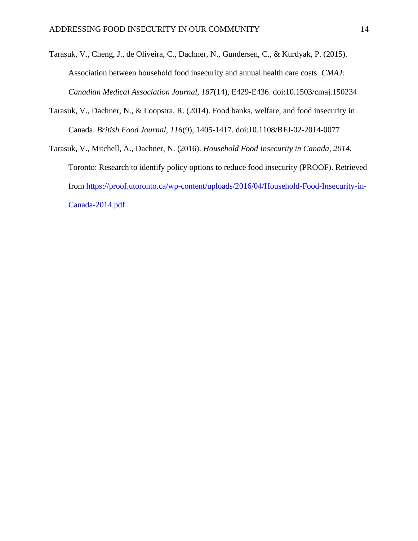- Tarasuk, V., Cheng, J., de Oliveira, C., Dachner, N., Gundersen, C., & Kurdyak, P. (2015). Association between household food insecurity and annual health care costs. *CMAJ: Canadian Medical Association Journal, 187*(14), E429-E436. doi:10.1503/cmaj.150234
- Tarasuk, V., Dachner, N., & Loopstra, R. (2014). Food banks, welfare, and food insecurity in Canada. *British Food Journal, 116*(9), 1405-1417. doi:10.1108/BFJ-02-2014-0077
- Tarasuk, V., Mitchell, A., Dachner, N. (2016). *Household Food Insecurity in Canada, 2014.*  Toronto: Research to identify policy options to reduce food insecurity (PROOF). Retrieved from [https://proof.utoronto.ca/wp-content/uploads/2016/04/Household-Food-Insecurity-in-](https://proof.utoronto.ca/wp-content/uploads/2016/04/Household-Food-Insecurity-in-Canada-2014.pdf)[Canada-2014.pdf](https://proof.utoronto.ca/wp-content/uploads/2016/04/Household-Food-Insecurity-in-Canada-2014.pdf)